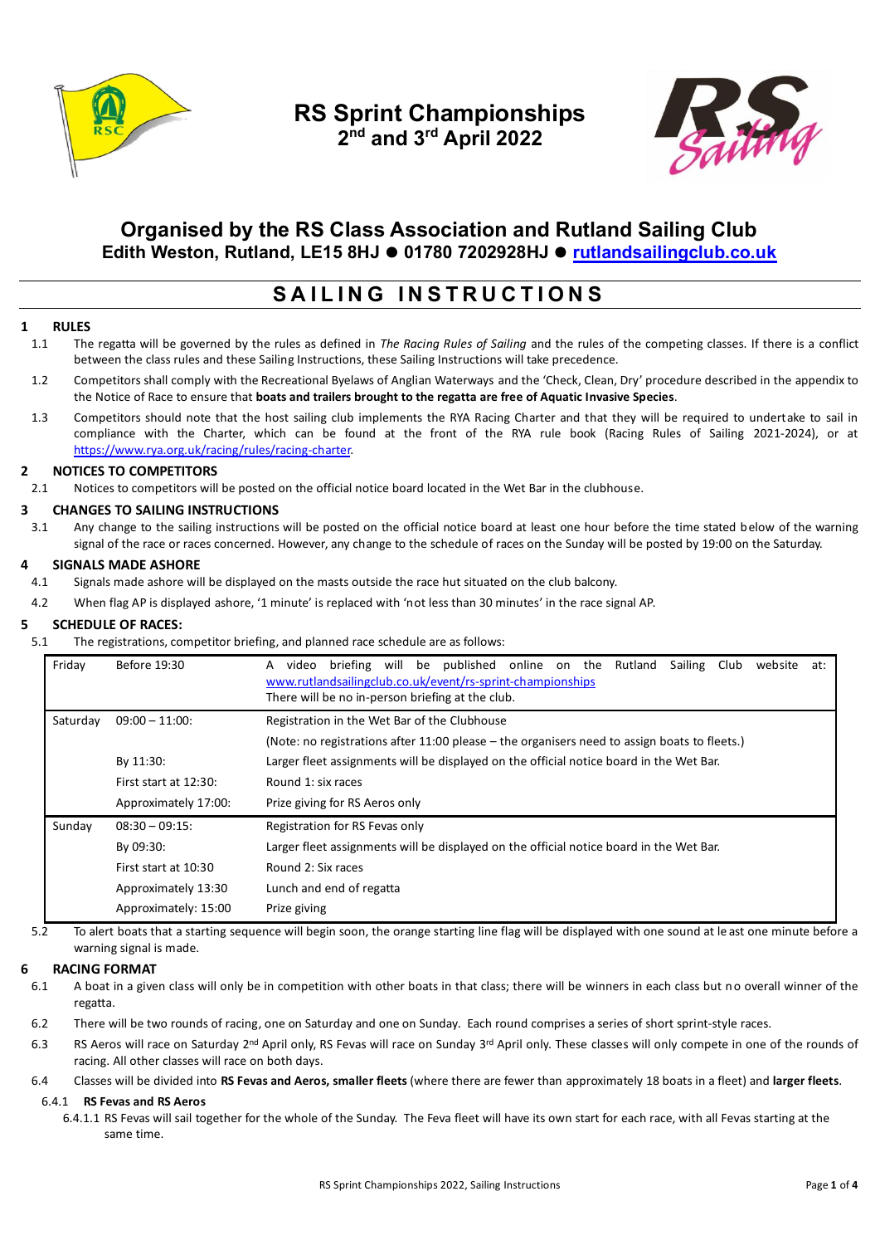

**RS Sprint Championships 2 nd and 3rd April 2022**



## **Organised by the RS Class Association and Rutland Sailing Club Edith Weston, Rutland, LE15 8HJ** ⚫ **01780 7202928HJ** ⚫ **[rutlandsailingclub.co.uk](https://www.rutlandsailingclub.co.uk/)**

# **S A I L I N G I N S T R U C T I O N S**

### **1 RULES**

- 1.1 The regatta will be governed by the rules as defined in *The Racing Rules of Sailing* and the rules of the competing classes. If there is a conflict between the class rules and these Sailing Instructions, these Sailing Instructions will take precedence.
- 1.2 Competitors shall comply with the Recreational Byelaws of Anglian Waterways and the 'Check, Clean, Dry' procedure described in the appendix to the Notice of Race to ensure that **boats and trailers brought to the regatta are free of Aquatic Invasive Species**.
- 1.3 Competitors should note that the host sailing club implements the RYA Racing Charter and that they will be required to undertake to sail in compliance with the Charter, which can be found at the front of the RYA rule book (Racing Rules of Sailing 2021-2024), or at [https://www.rya.org.uk/racing/rules/racing-charter.](https://www.rya.org.uk/racing/rules/racing-charter)

### **2 NOTICES TO COMPETITORS**

2.1 Notices to competitors will be posted on the official notice board located in the Wet Bar in the clubhouse.

### **3 CHANGES TO SAILING INSTRUCTIONS**

3.1 Any change to the sailing instructions will be posted on the official notice board at least one hour before the time stated below of the warning signal of the race or races concerned. However, any change to the schedule of races on the Sunday will be posted by 19:00 on the Saturday.

#### **4 SIGNALS MADE ASHORE**

- 4.1 Signals made ashore will be displayed on the masts outside the race hut situated on the club balcony.
- 4.2 When flag AP is displayed ashore, '1 minute' is replaced with 'not less than 30 minutes' in the race signal AP.

#### **5 SCHEDULE OF RACES:**

5.1 The registrations, competitor briefing, and planned race schedule are as follows:

| Friday   | Before 19:30             | briefing will be published online on the Rutland<br>Sailing Club<br>website<br>A<br>video<br>at:<br>www.rutlandsailingclub.co.uk/event/rs-sprint-championships<br>There will be no in-person briefing at the club. |  |  |  |  |
|----------|--------------------------|--------------------------------------------------------------------------------------------------------------------------------------------------------------------------------------------------------------------|--|--|--|--|
| Saturday | $09:00 - 11:00$ :        | Registration in the Wet Bar of the Clubhouse                                                                                                                                                                       |  |  |  |  |
|          |                          | (Note: no registrations after 11:00 please – the organisers need to assign boats to fleets.)                                                                                                                       |  |  |  |  |
|          | By 11:30:                | Larger fleet assignments will be displayed on the official notice board in the Wet Bar.                                                                                                                            |  |  |  |  |
|          | First start at $12:30$ : | Round 1: six races                                                                                                                                                                                                 |  |  |  |  |
|          | Approximately 17:00:     | Prize giving for RS Aeros only                                                                                                                                                                                     |  |  |  |  |
| Sunday   | $08:30 - 09:15$          | Registration for RS Fevas only                                                                                                                                                                                     |  |  |  |  |
|          | By 09:30:                | Larger fleet assignments will be displayed on the official notice board in the Wet Bar.                                                                                                                            |  |  |  |  |
|          | First start at 10:30     | Round 2: Six races                                                                                                                                                                                                 |  |  |  |  |
|          | Approximately 13:30      | Lunch and end of regatta                                                                                                                                                                                           |  |  |  |  |
|          | Approximately: 15:00     | Prize giving                                                                                                                                                                                                       |  |  |  |  |

5.2 To alert boats that a starting sequence will begin soon, the orange starting line flag will be displayed with one sound at le ast one minute before a warning signal is made.

#### **6 RACING FORMAT**

- 6.1 A boat in a given class will only be in competition with other boats in that class; there will be winners in each class but no overall winner of the regatta.
- 6.2 There will be two rounds of racing, one on Saturday and one on Sunday. Each round comprises a series of short sprint-style races.
- 6.3 RS Aeros will race on Saturday 2<sup>nd</sup> April only, RS Fevas will race on Sunday 3<sup>rd</sup> April only. These classes will only compete in one of the rounds of racing. All other classes will race on both days.
- 6.4 Classes will be divided into **RS Fevas and Aeros, smaller fleets** (where there are fewer than approximately 18 boats in a fleet) and **larger fleets**.

#### 6.4.1 **RS Fevas and RS Aeros**

6.4.1.1 RS Fevas will sail together for the whole of the Sunday. The Feva fleet will have its own start for each race, with all Fevas starting at the same time.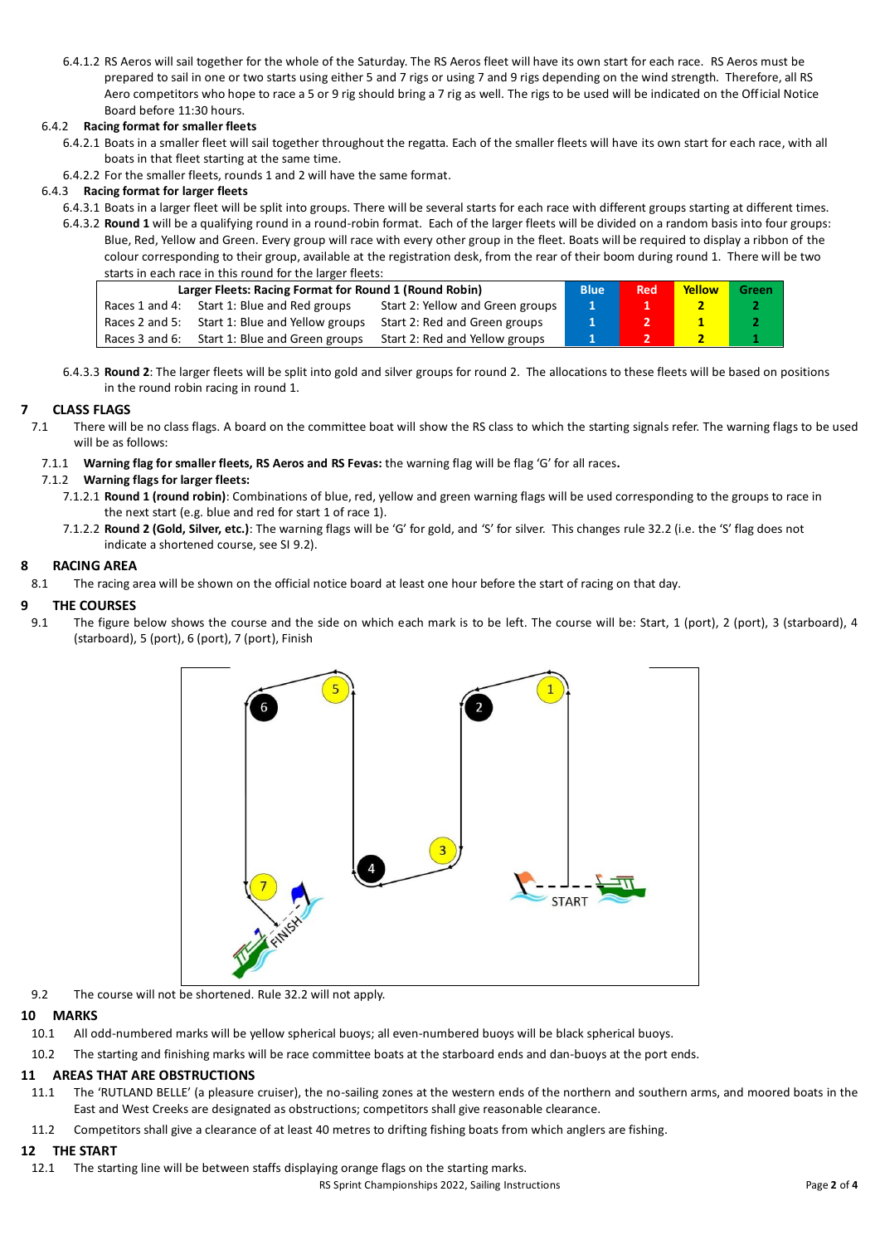6.4.1.2 RS Aeros will sail together for the whole of the Saturday. The RS Aeros fleet will have its own start for each race. RS Aeros must be prepared to sail in one or two starts using either 5 and 7 rigs or using 7 and 9 rigs depending on the wind strength. Therefore, all RS Aero competitors who hope to race a 5 or 9 rig should bring a 7 rig as well. The rigs to be used will be indicated on the Official Notice Board before 11:30 hours.

### 6.4.2 **Racing format for smaller fleets**

- 6.4.2.1 Boats in a smaller fleet will sail together throughout the regatta. Each of the smaller fleets will have its own start for each race, with all boats in that fleet starting at the same time.
- 6.4.2.2 For the smaller fleets, rounds 1 and 2 will have the same format.

### 6.4.3 **Racing format for larger fleets**

- 6.4.3.1 Boats in a larger fleet will be split into groups. There will be several starts for each race with different groups starting at different times.
- 6.4.3.2 **Round 1** will be a qualifying round in a round-robin format. Each of the larger fleets will be divided on a random basis into four groups: Blue, Red, Yellow and Green. Every group will race with every other group in the fleet. Boats will be required to display a ribbon of the colour corresponding to their group, available at the registration desk, from the rear of their boom during round 1. There will be two starts in each race in this round for the larger fleets:

| <b>Starts in Cach race in this round for the larger nects.</b> |                                                |                                  |              |            |              |       |  |  |
|----------------------------------------------------------------|------------------------------------------------|----------------------------------|--------------|------------|--------------|-------|--|--|
| Larger Fleets: Racing Format for Round 1 (Round Robin)         |                                                |                                  | <b>Blue</b>  | <b>Red</b> | Yellow       | Green |  |  |
|                                                                | Races 1 and 4: Start 1: Blue and Red groups    | Start 2: Yellow and Green groups | $\mathbf{1}$ |            |              |       |  |  |
|                                                                | Races 2 and 5: Start 1: Blue and Yellow groups | Start 2: Red and Green groups    |              |            |              |       |  |  |
|                                                                | Races 3 and 6: Start 1: Blue and Green groups  | Start 2: Red and Yellow groups   |              |            | $\mathbf{2}$ |       |  |  |

6.4.3.3 **Round 2**: The larger fleets will be split into gold and silver groups for round 2. The allocations to these fleets will be based on positions in the round robin racing in round 1.

### **7 CLASS FLAGS**

- 7.1 There will be no class flags. A board on the committee boat will show the RS class to which the starting signals refer. The warning flags to be used will be as follows:
	- 7.1.1 **Warning flag for smaller fleets, RS Aeros and RS Fevas:** the warning flag will be flag 'G' for all races**.**

### 7.1.2 **Warning flags for larger fleets:**

- 7.1.2.1 **Round 1 (round robin)**: Combinations of blue, red, yellow and green warning flags will be used corresponding to the groups to race in the next start (e.g. blue and red for start 1 of race 1).
- 7.1.2.2 **Round 2 (Gold, Silver, etc.)**: The warning flags will be 'G' for gold, and 'S' for silver. This changes rule 32.2 (i.e. the 'S' flag does not indicate a shortened course, see SI 9.2).

### **8 RACING AREA**

8.1 The racing area will be shown on the official notice board at least one hour before the start of racing on that day.

### **9 THE COURSES**

9.1 The figure below shows the course and the side on which each mark is to be left. The course will be: Start, 1 (port), 2 (port), 3 (starboard), 4 (starboard), 5 (port), 6 (port), 7 (port), Finish



9.2 The course will not be shortened. Rule 32.2 will not apply.

### **10 MARKS**

- 10.1 All odd-numbered marks will be yellow spherical buoys; all even-numbered buoys will be black spherical buoys.
- 10.2 The starting and finishing marks will be race committee boats at the starboard ends and dan-buoys at the port ends.

### **11 AREAS THAT ARE OBSTRUCTIONS**

- 11.1 The 'RUTLAND BELLE' (a pleasure cruiser), the no-sailing zones at the western ends of the northern and southern arms, and moored boats in the East and West Creeks are designated as obstructions; competitors shall give reasonable clearance.
- 11.2 Competitors shall give a clearance of at least 40 metres to drifting fishing boats from which anglers are fishing.

### **12 THE START**

12.1 The starting line will be between staffs displaying orange flags on the starting marks.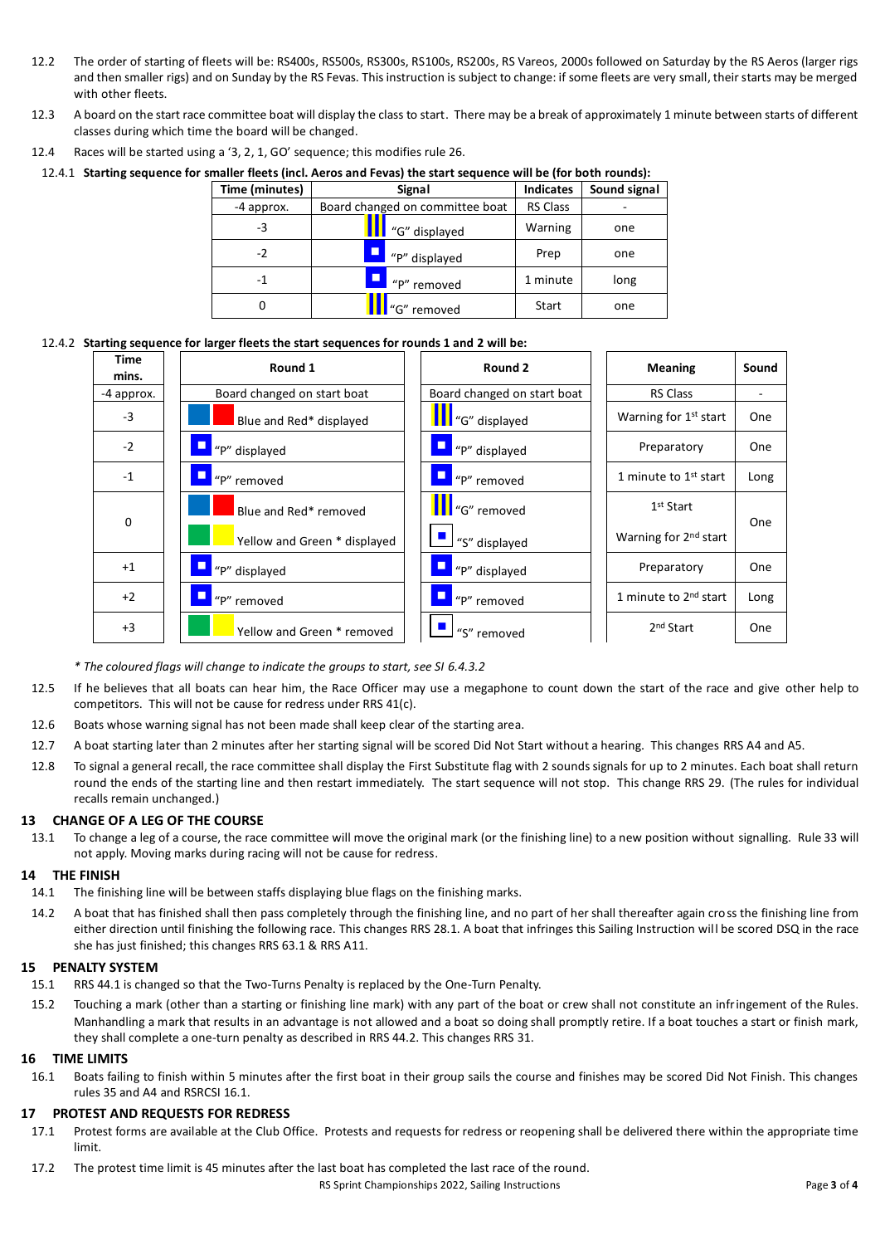- 12.2 The order of starting of fleets will be: RS400s, RS500s, RS300s, RS100s, RS200s, RS Vareos, 2000s followed on Saturday by the RS Aeros (larger rigs and then smaller rigs) and on Sunday by the RS Fevas. This instruction is subject to change: if some fleets are very small, their starts may be merged with other fleets.
- 12.3 A board on the start race committee boat will display the class to start. There may be a break of approximately 1 minute between starts of different classes during which time the board will be changed.
- 12.4 Races will be started using a '3, 2, 1, GO' sequence; this modifies rule 26.

12.4.1 **Starting sequence for smaller fleets (incl. Aeros and Fevas) the start sequence will be (for both rounds):**

| Time (minutes) | Signal                          | <b>Indicates</b> | Sound signal |
|----------------|---------------------------------|------------------|--------------|
| -4 approx.     | Board changed on committee boat | <b>RS Class</b>  |              |
| -3             | "G" displayed                   | Warning          | one          |
| -2             | $\Box$<br>"P" displayed         | Prep             | one          |
| -1             | "P" removed                     | 1 minute         | long         |
| 0              | "G" removed                     | Start            | one          |

### 12.4.2 **Starting sequence for larger fleets the start sequences for rounds 1 and 2 will be:**

| Time<br>mins. | Round 1                      | Round 2                     | <b>Meaning</b>                    | Sound |
|---------------|------------------------------|-----------------------------|-----------------------------------|-------|
| -4 approx.    | Board changed on start boat  | Board changed on start boat | <b>RS Class</b>                   |       |
| -3            | Blue and Red* displayed      | <b>T</b> "G" displayed      | Warning for 1 <sup>st</sup> start | One   |
| $-2$          | "P" displayed                | "P" displayed               | Preparatory                       | One   |
| $-1$          | "P" removed                  | "P" removed                 | 1 minute to 1 <sup>st</sup> start | Long  |
| 0             | Blue and Red* removed        | <sup>1</sup> "G" removed    | 1 <sup>st</sup> Start             | One   |
|               | Yellow and Green * displayed | $\Box$ "S" displayed        | Warning for 2 <sup>nd</sup> start |       |
| $+1$          | "P" displayed                | "P" displayed               | Preparatory                       | One   |
| $+2$          | "P" removed                  | "P" removed                 | 1 minute to 2 <sup>nd</sup> start | Long  |
| $+3$          | Yellow and Green * removed   | "S" removed                 | 2 <sup>nd</sup> Start             | One   |

*\* The coloured flags will change to indicate the groups to start, see SI 6.4.3.2*

- 12.5 If he believes that all boats can hear him, the Race Officer may use a megaphone to count down the start of the race and give other help to competitors. This will not be cause for redress under RRS 41(c).
- 12.6 Boats whose warning signal has not been made shall keep clear of the starting area.
- 12.7 A boat starting later than 2 minutes after her starting signal will be scored Did Not Start without a hearing. This changes RRS A4 and A5.
- 12.8 To signal a general recall, the race committee shall display the First Substitute flag with 2 sounds signals for up to 2 minutes. Each boat shall return round the ends of the starting line and then restart immediately. The start sequence will not stop. This change RRS 29. (The rules for individual recalls remain unchanged.)

### **13 CHANGE OF A LEG OF THE COURSE**

13.1 To change a leg of a course, the race committee will move the original mark (or the finishing line) to a new position without signalling. Rule 33 will not apply. Moving marks during racing will not be cause for redress.

### **14 THE FINISH**

- 14.1 The finishing line will be between staffs displaying blue flags on the finishing marks.
- 14.2 A boat that has finished shall then pass completely through the finishing line, and no part of her shall thereafter again cross the finishing line from either direction until finishing the following race. This changes RRS 28.1. A boat that infringes this Sailing Instruction will be scored DSQ in the race she has just finished; this changes RRS 63.1 & RRS A11.

#### **15 PENALTY SYSTEM**

- 15.1 RRS 44.1 is changed so that the Two-Turns Penalty is replaced by the One-Turn Penalty.
- 15.2 Touching a mark (other than a starting or finishing line mark) with any part of the boat or crew shall not constitute an infringement of the Rules. Manhandling a mark that results in an advantage is not allowed and a boat so doing shall promptly retire. If a boat touches a start or finish mark, they shall complete a one-turn penalty as described in RRS 44.2. This changes RRS 31.

#### **16 TIME LIMITS**

16.1 Boats failing to finish within 5 minutes after the first boat in their group sails the course and finishes may be scored Did Not Finish. This changes rules 35 and A4 and RSRCSI 16.1.

#### **17 PROTEST AND REQUESTS FOR REDRESS**

- 17.1 Protest forms are available at the Club Office. Protests and requests for redress or reopening shall be delivered there within the appropriate time limit.
- 17.2 The protest time limit is 45 minutes after the last boat has completed the last race of the round.